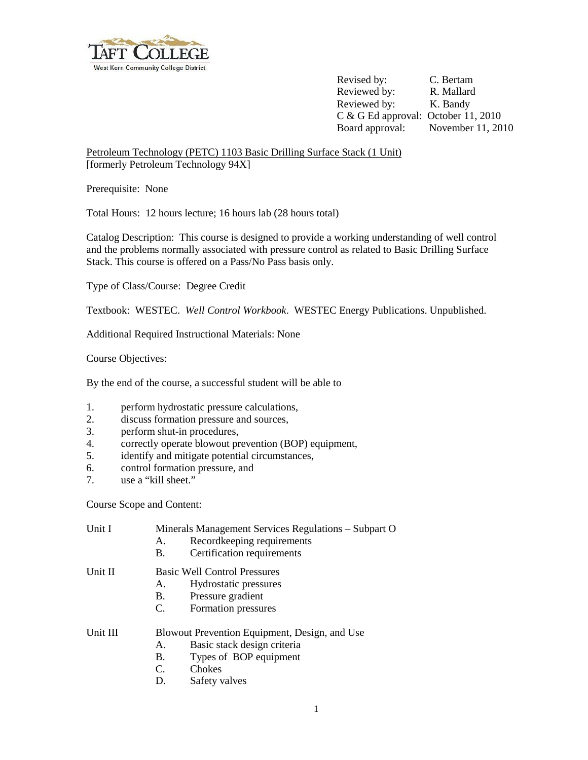

Revised by: C. Bertam Reviewed by: R. Mallard Reviewed by: K. Bandy C & G Ed approval: October 11, 2010 Board approval: November 11, 2010

Petroleum Technology (PETC) 1103 Basic Drilling Surface Stack (1 Unit) [formerly Petroleum Technology 94X]

Prerequisite: None

Total Hours: 12 hours lecture; 16 hours lab (28 hours total)

Catalog Description: This course is designed to provide a working understanding of well control and the problems normally associated with pressure control as related to Basic Drilling Surface Stack. This course is offered on a Pass/No Pass basis only.

Type of Class/Course: Degree Credit

Textbook: WESTEC. *Well Control Workbook*. WESTEC Energy Publications. Unpublished.

Additional Required Instructional Materials: None

Course Objectives:

By the end of the course, a successful student will be able to

- 1. perform hydrostatic pressure calculations,
- 2. discuss formation pressure and sources,
- 3. perform shut-in procedures,
- 4. correctly operate blowout prevention (BOP) equipment,
- 5. identify and mitigate potential circumstances,
- 6. control formation pressure, and
- 7. use a "kill sheet."

Course Scope and Content:

| Unit I   | Minerals Management Services Regulations – Subpart O |                             |  |
|----------|------------------------------------------------------|-----------------------------|--|
|          | A.                                                   | Recordkeeping requirements  |  |
|          | <b>B.</b>                                            | Certification requirements  |  |
| Unit II  | <b>Basic Well Control Pressures</b>                  |                             |  |
|          | A.                                                   | Hydrostatic pressures       |  |
|          | B.                                                   | Pressure gradient           |  |
|          | C.                                                   | Formation pressures         |  |
| Unit III | Blowout Prevention Equipment, Design, and Use        |                             |  |
|          | Α.                                                   | Basic stack design criteria |  |
|          | B.                                                   | Types of BOP equipment      |  |
|          | C.                                                   | Chokes                      |  |
|          | D.                                                   | Safety valves               |  |
|          |                                                      |                             |  |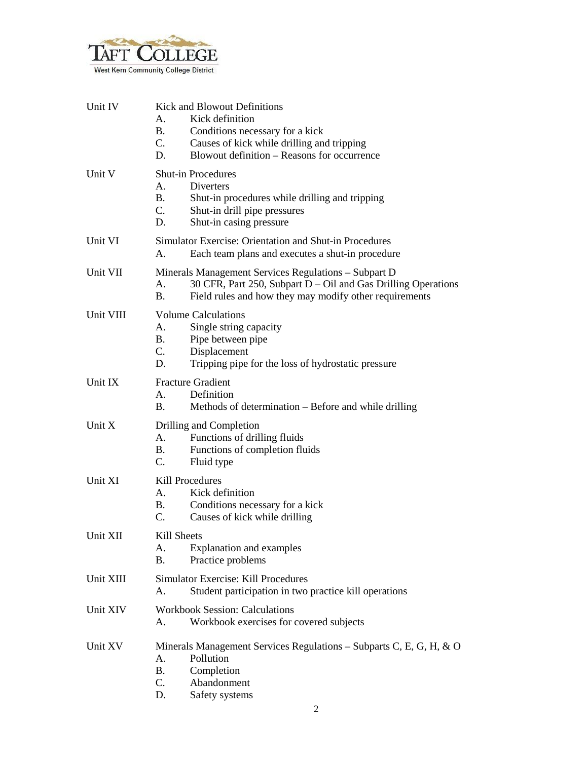

| Unit IV   | <b>Kick and Blowout Definitions</b><br>Kick definition<br>А.<br><b>B.</b><br>Conditions necessary for a kick<br>C.<br>Causes of kick while drilling and tripping<br>Blowout definition – Reasons for occurrence<br>D. |  |
|-----------|-----------------------------------------------------------------------------------------------------------------------------------------------------------------------------------------------------------------------|--|
| Unit V    | <b>Shut-in Procedures</b><br>А.<br>Diverters<br>B.<br>Shut-in procedures while drilling and tripping<br>C.<br>Shut-in drill pipe pressures<br>Shut-in casing pressure<br>D.                                           |  |
| Unit VI   | Simulator Exercise: Orientation and Shut-in Procedures<br>A.<br>Each team plans and executes a shut-in procedure                                                                                                      |  |
| Unit VII  | Minerals Management Services Regulations - Subpart D<br>30 CFR, Part 250, Subpart $D - Oil$ and Gas Drilling Operations<br>А.<br>Β.<br>Field rules and how they may modify other requirements                         |  |
| Unit VIII | <b>Volume Calculations</b><br>Single string capacity<br>А.<br>Pipe between pipe<br>В.<br>C.<br>Displacement<br>D.<br>Tripping pipe for the loss of hydrostatic pressure                                               |  |
| Unit IX   | <b>Fracture Gradient</b><br>A.<br>Definition<br>В.<br>Methods of determination – Before and while drilling                                                                                                            |  |
| Unit X    | Drilling and Completion<br>A.<br>Functions of drilling fluids<br>Functions of completion fluids<br>B.<br>C.<br>Fluid type                                                                                             |  |
| Unit XI   | Kill Procedures<br>Kick definition<br>А.<br>Conditions necessary for a kick<br>В.<br>C.<br>Causes of kick while drilling                                                                                              |  |
| Unit XII  | Kill Sheets<br>A.<br><b>Explanation and examples</b><br>Practice problems<br>В.                                                                                                                                       |  |
| Unit XIII | <b>Simulator Exercise: Kill Procedures</b><br>Student participation in two practice kill operations<br>A.                                                                                                             |  |
| Unit XIV  | <b>Workbook Session: Calculations</b><br>Workbook exercises for covered subjects<br>А.                                                                                                                                |  |
| Unit XV   | Minerals Management Services Regulations – Subparts C, E, G, H, $\&$ O<br>Pollution<br>А.<br><b>B.</b><br>Completion<br>C.<br>Abandonment<br>D.<br>Safety systems                                                     |  |